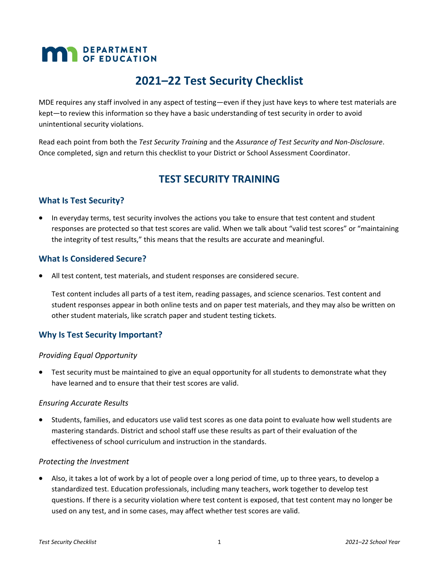# **MAN** DEPARTMENT

# **2021–22 Test Security Checklist**

MDE requires any staff involved in any aspect of testing—even if they just have keys to where test materials are kept—to review this information so they have a basic understanding of test security in order to avoid unintentional security violations.

Read each point from both the *Test Security Training* and the *Assurance of Test Security and Non-Disclosure*. Once completed, sign and return this checklist to your District or School Assessment Coordinator.

# **TEST SECURITY TRAINING**

# **What Is Test Security?**

 In everyday terms, test security involves the actions you take to ensure that test content and student responses are protected so that test scores are valid. When we talk about "valid test scores" or "maintaining the integrity of test results," this means that the results are accurate and meaningful.

#### **What Is Considered Secure?**

All test content, test materials, and student responses are considered secure.

Test content includes all parts of a test item, reading passages, and science scenarios. Test content and student responses appear in both online tests and on paper test materials, and they may also be written on other student materials, like scratch paper and student testing tickets.

# **Why Is Test Security Important?**

#### *Providing Equal Opportunity*

 Test security must be maintained to give an equal opportunity for all students to demonstrate what they have learned and to ensure that their test scores are valid.

#### *Ensuring Accurate Results*

 Students, families, and educators use valid test scores as one data point to evaluate how well students are mastering standards. District and school staff use these results as part of their evaluation of the effectiveness of school curriculum and instruction in the standards.

#### *Protecting the Investment*

 Also, it takes a lot of work by a lot of people over a long period of time, up to three years, to develop a standardized test. Education professionals, including many teachers, work together to develop test questions. If there is a security violation where test content is exposed, that test content may no longer be used on any test, and in some cases, may affect whether test scores are valid.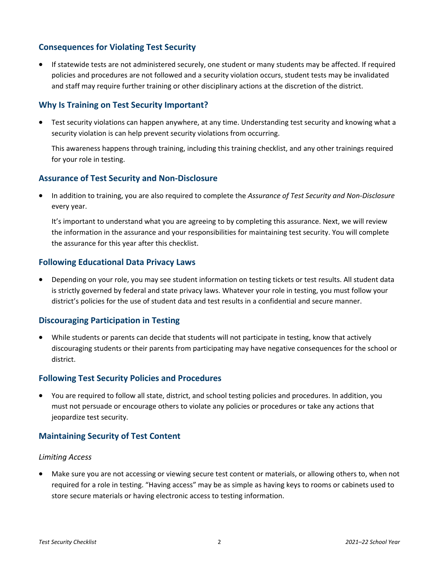# **Consequences for Violating Test Security**

 If statewide tests are not administered securely, one student or many students may be affected. If required policies and procedures are not followed and a security violation occurs, student tests may be invalidated and staff may require further training or other disciplinary actions at the discretion of the district.

## **Why Is Training on Test Security Important?**

 Test security violations can happen anywhere, at any time. Understanding test security and knowing what a security violation is can help prevent security violations from occurring.

This awareness happens through training, including this training checklist, and any other trainings required for your role in testing.

#### **Assurance of Test Security and Non-Disclosure**

 In addition to training, you are also required to complete the *Assurance of Test Security and Non-Disclosure* every year.

It's important to understand what you are agreeing to by completing this assurance. Next, we will review the information in the assurance and your responsibilities for maintaining test security. You will complete the assurance for this year after this checklist.

#### **Following Educational Data Privacy Laws**

 Depending on your role, you may see student information on testing tickets or test results. All student data is strictly governed by federal and state privacy laws. Whatever your role in testing, you must follow your district's policies for the use of student data and test results in a confidential and secure manner.

#### **Discouraging Participation in Testing**

 While students or parents can decide that students will not participate in testing, know that actively discouraging students or their parents from participating may have negative consequences for the school or district.

#### **Following Test Security Policies and Procedures**

 You are required to follow all state, district, and school testing policies and procedures. In addition, you must not persuade or encourage others to violate any policies or procedures or take any actions that jeopardize test security.

# **Maintaining Security of Test Content**

#### *Limiting Access*

 Make sure you are not accessing or viewing secure test content or materials, or allowing others to, when not required for a role in testing. "Having access" may be as simple as having keys to rooms or cabinets used to store secure materials or having electronic access to testing information.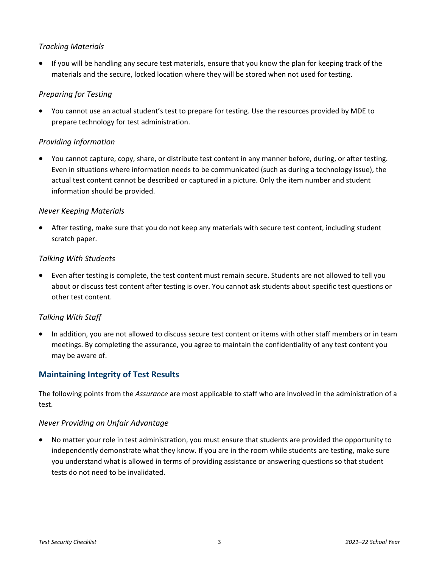## *Tracking Materials*

 If you will be handling any secure test materials, ensure that you know the plan for keeping track of the materials and the secure, locked location where they will be stored when not used for testing.

#### *Preparing for Testing*

 You cannot use an actual student's test to prepare for testing. Use the resources provided by MDE to prepare technology for test administration.

#### *Providing Information*

 You cannot capture, copy, share, or distribute test content in any manner before, during, or after testing. Even in situations where information needs to be communicated (such as during a technology issue), the actual test content cannot be described or captured in a picture. Only the item number and student information should be provided.

#### *Never Keeping Materials*

 After testing, make sure that you do not keep any materials with secure test content, including student scratch paper.

#### *Talking With Students*

 Even after testing is complete, the test content must remain secure. Students are not allowed to tell you about or discuss test content after testing is over. You cannot ask students about specific test questions or other test content.

#### *Talking With Staff*

 In addition, you are not allowed to discuss secure test content or items with other staff members or in team meetings. By completing the assurance, you agree to maintain the confidentiality of any test content you may be aware of.

# **Maintaining Integrity of Test Results**

The following points from the *Assurance* are most applicable to staff who are involved in the administration of a test.

#### *Never Providing an Unfair Advantage*

 No matter your role in test administration, you must ensure that students are provided the opportunity to independently demonstrate what they know. If you are in the room while students are testing, make sure you understand what is allowed in terms of providing assistance or answering questions so that student tests do not need to be invalidated.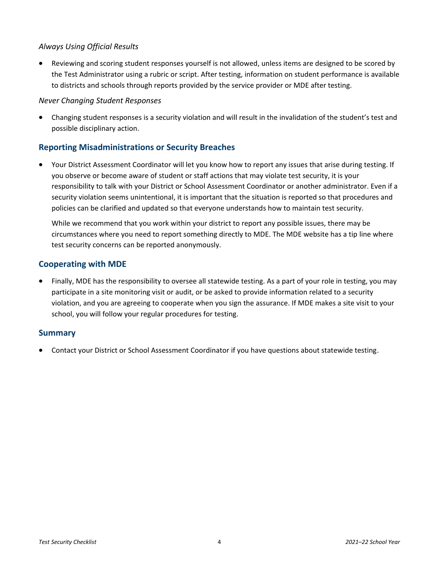#### *Always Using Official Results*

 Reviewing and scoring student responses yourself is not allowed, unless items are designed to be scored by the Test Administrator using a rubric or script. After testing, information on student performance is available to districts and schools through reports provided by the service provider or MDE after testing.

#### *Never Changing Student Responses*

 Changing student responses is a security violation and will result in the invalidation of the student's test and possible disciplinary action.

# **Reporting Misadministrations or Security Breaches**

 Your District Assessment Coordinator will let you know how to report any issues that arise during testing. If you observe or become aware of student or staff actions that may violate test security, it is your responsibility to talk with your District or School Assessment Coordinator or another administrator. Even if a security violation seems unintentional, it is important that the situation is reported so that procedures and policies can be clarified and updated so that everyone understands how to maintain test security.

While we recommend that you work within your district to report any possible issues, there may be circumstances where you need to report something directly to MDE. The MDE website has a tip line where test security concerns can be reported anonymously.

#### **Cooperating with MDE**

 Finally, MDE has the responsibility to oversee all statewide testing. As a part of your role in testing, you may participate in a site monitoring visit or audit, or be asked to provide information related to a security violation, and you are agreeing to cooperate when you sign the assurance. If MDE makes a site visit to your school, you will follow your regular procedures for testing.

#### **Summary**

Contact your District or School Assessment Coordinator if you have questions about statewide testing.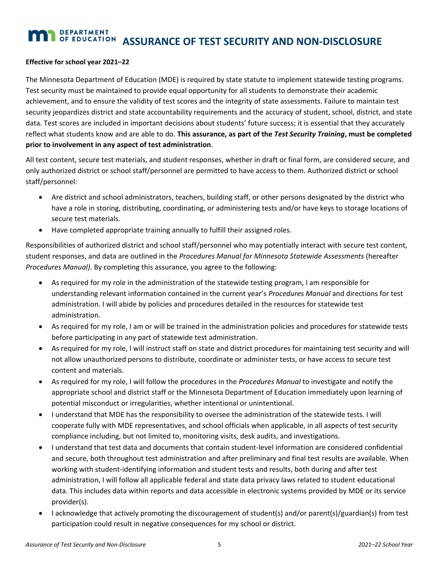# **DEPARTMENT TEST SEPARTMENT ASSURANCE OF TEST SECURITY AND NON-DISCLOSURE**

#### **Effective for school year 2021–22**

The Minnesota Department of Education (MDE) is required by state statute to implement statewide testing programs. Test security must be maintained to provide equal opportunity for all students to demonstrate their academic achievement, and to ensure the validity of test scores and the integrity of state assessments. Failure to maintain test security jeopardizes district and state accountability requirements and the accuracy of student, school, district, and state data. Test scores are included in important decisions about students' future success; it is essential that they accurately reflect what students know and are able to do. **This assurance, as part of the** *Test Security Training***, must be completed prior to involvement in any aspect of test administration**.

All test content, secure test materials, and student responses, whether in draft or final form, are considered secure, and only authorized district or school staff/personnel are permitted to have access to them. Authorized district or school staff/personnel:

- Are district and school administrators, teachers, building staff, or other persons designated by the district who have a role in storing, distributing, coordinating, or administering tests and/or have keys to storage locations of secure test materials.
- Have completed appropriate training annually to fulfill their assigned roles.

Responsibilities of authorized district and school staff/personnel who may potentially interact with secure test content, student responses, and data are outlined in the *Procedures Manual for Minnesota Statewide Assessments* (hereafter *Procedures Manual)*. By completing this assurance, you agree to the following:

- As required for my role in the administration of the statewide testing program, I am responsible for understanding relevant information contained in the current year's *Procedures Manual* and directions for test administration. I will abide by policies and procedures detailed in the resources for statewide test administration.
- As required for my role, I am or will be trained in the administration policies and procedures for statewide tests before participating in any part of statewide test administration.
- As required for my role, I will instruct staff on state and district procedures for maintaining test security and will not allow unauthorized persons to distribute, coordinate or administer tests, or have access to secure test content and materials.
- As required for my role, I will follow the procedures in the *Procedures Manual* to investigate and notify the appropriate school and district staff or the Minnesota Department of Education immediately upon learning of potential misconduct or irregularities, whether intentional or unintentional.
- I understand that MDE has the responsibility to oversee the administration of the statewide tests. I will cooperate fully with MDE representatives, and school officials when applicable, in all aspects of test security compliance including, but not limited to, monitoring visits, desk audits, and investigations.
- I understand that test data and documents that contain student-level information are considered confidential and secure, both throughout test administration and after preliminary and final test results are available. When working with student-identifying information and student tests and results, both during and after test administration, I will follow all applicable federal and state data privacy laws related to student educational data. This includes data within reports and data accessible in electronic systems provided by MDE or its service provider(s).
- I acknowledge that actively promoting the discouragement of student(s) and/or parent(s)/guardian(s) from test participation could result in negative consequences for my school or district.